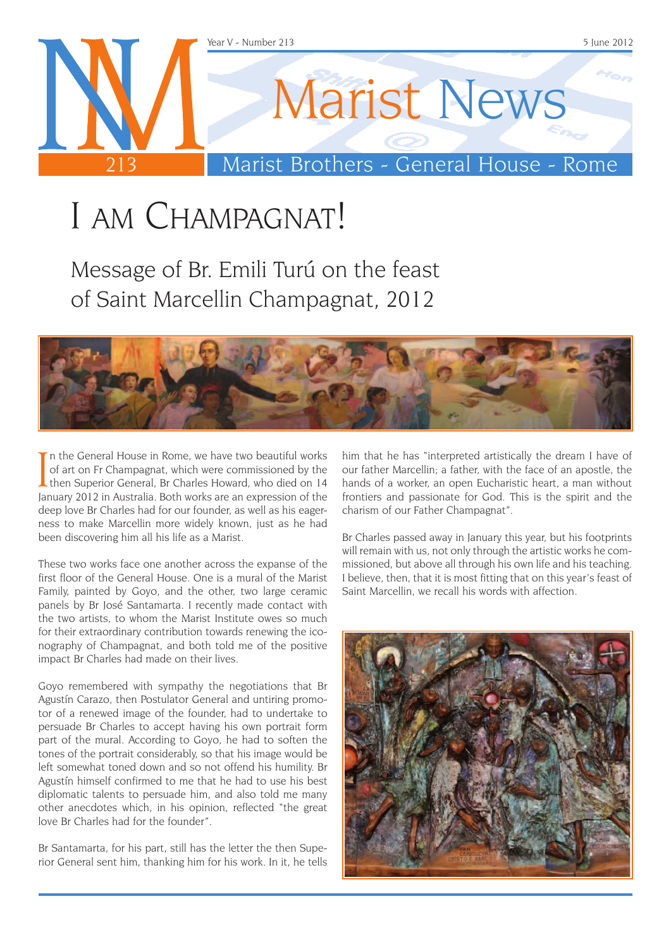

# I am Champagnat!

Message of Br. Emili Turú on the feast of Saint Marcellin Champagnat, 2012



In the General House in Rome, we have two beautiful works<br>of art on Fr Champagnat, which were commissioned by the<br>then Superior General, Br Charles Howard, who died on 14<br>lanuary 2012 in Australia, Both works are an expres n the General House in Rome, we have two beautiful works of art on Fr Champagnat, which were commissioned by the January 2012 in Australia. Both works are an expression of the deep love Br Charles had for our founder, as well as his eagerness to make Marcellin more widely known, just as he had been discovering him all his life as a Marist.

These two works face one another across the expanse of the first floor of the General House. One is a mural of the Marist Family, painted by Goyo, and the other, two large ceramic panels by Br José Santamarta. I recently made contact with the two artists, to whom the Marist Institute owes so much for their extraordinary contribution towards renewing the iconography of Champagnat, and both told me of the positive impact Br Charles had made on their lives.

Goyo remembered with sympathy the negotiations that Br Agustín Carazo, then Postulator General and untiring promotor of a renewed image of the founder, had to undertake to persuade Br Charles to accept having his own portrait form part of the mural. According to Goyo, he had to soften the tones of the portrait considerably, so that his image would be left somewhat toned down and so not offend his humility. Br Agustín himself confirmed to me that he had to use his best diplomatic talents to persuade him, and also told me many other anecdotes which, in his opinion, reflected "the great love Br Charles had for the founder".

Br Santamarta, for his part, still has the letter the then Superior General sent him, thanking him for his work. In it, he tells him that he has "interpreted artistically the dream I have of our father Marcellin; a father, with the face of an apostle, the hands of a worker, an open Eucharistic heart, a man without frontiers and passionate for God. This is the spirit and the charism of our Father Champagnat".

Br Charles passed away in January this year, but his footprints will remain with us, not only through the artistic works he commissioned, but above all through his own life and his teaching. I believe, then, that it is most fitting that on this year's feast of Saint Marcellin, we recall his words with affection.

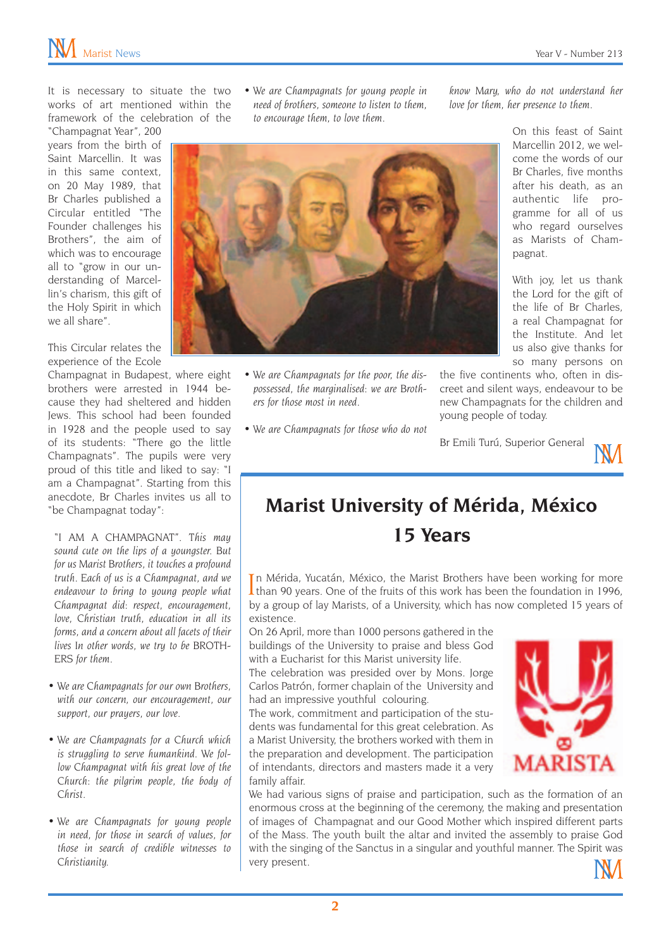It is necessary to situate the two works of art mentioned within the framework of the celebration of the

"Champagnat Year", 200 years from the birth of Saint Marcellin. It was in this same context, on 20 May 1989, that Br Charles published a Circular entitled "The Founder challenges his Brothers", the aim of which was to encourage all to "grow in our understanding of Marcellin's charism, this gift of the Holy Spirit in which we all share".

This Circular relates the experience of the Ecole

Champagnat in Budapest, where eight brothers were arrested in 1944 because they had sheltered and hidden Jews. This school had been founded in 1928 and the people used to say of its students: "There go the little Champagnats". The pupils were very proud of this title and liked to say: "I am a Champagnat". Starting from this anecdote, Br Charles invites us all to "be Champagnat today":

*"I AM A CHAMPAGNAT". This may sound cute on the lips of a youngster. But for us Marist Brothers, it touches a profound truth. Each of us is a Champagnat, and we endeavour to bring to young people what Champagnat did: respect, encouragement, love, Christian truth, education in all its forms, and a concern about all facets of their lives In other words, we try to be BROTH-ERS for them.*

- *• We are Champagnats for our own Brothers, with our concern, our encouragement, our support, our prayers, our love.*
- *• We are Champagnats for a Church which is struggling to serve humankind. We follow Champagnat with his great love of the Church: the pilgrim people, the body of Christ.*
- *• We are Champagnats for young people in need, for those in search of values, for those in search of credible witnesses to Christianity.*

*• We are Champagnats for young people in need of brothers, someone to listen to them, to encourage them, to love them.*

*• We are Champagnats for the poor, the dispossessed, the marginalised: we are Broth-*

*• We are Champagnats for those who do not* 

*ers for those most in need.*

*know Mary, who do not understand her love for them, her presence to them.*

> On this feast of Saint Marcellin 2012, we welcome the words of our Br Charles, five months after his death, as an authentic life programme for all of us who regard ourselves as Marists of Champagnat.

With joy, let us thank the Lord for the gift of the life of Br Charles, a real Champagnat for the Institute. And let us also give thanks for so many persons on

the five continents who, often in discreet and silent ways, endeavour to be new Champagnats for the children and young people of today.

Br Emili Turú, Superior General



#### **Marist University of Mérida, México 15 Years**

In Mérida, Yucatán, México, the Marist Brothers have been working for more<br>than 90 years. One of the fruits of this work has been the foundation in 1996, than 90 years. One of the fruits of this work has been the foundation in 1996, by a group of lay Marists, of a University, which has now completed 15 years of existence.

On 26 April, more than 1000 persons gathered in the buildings of the University to praise and bless God with a Eucharist for this Marist university life.

The celebration was presided over by Mons. Jorge Carlos Patrón, former chaplain of the University and had an impressive youthful colouring.

The work, commitment and participation of the students was fundamental for this great celebration. As a Marist University, the brothers worked with them in the preparation and development. The participation of intendants, directors and masters made it a very family affair.



We had various signs of praise and participation, such as the formation of an enormous cross at the beginning of the ceremony, the making and presentation of images of Champagnat and our Good Mother which inspired different parts of the Mass. The youth built the altar and invited the assembly to praise God with the singing of the Sanctus in a singular and youthful manner. The Spirit was very present.

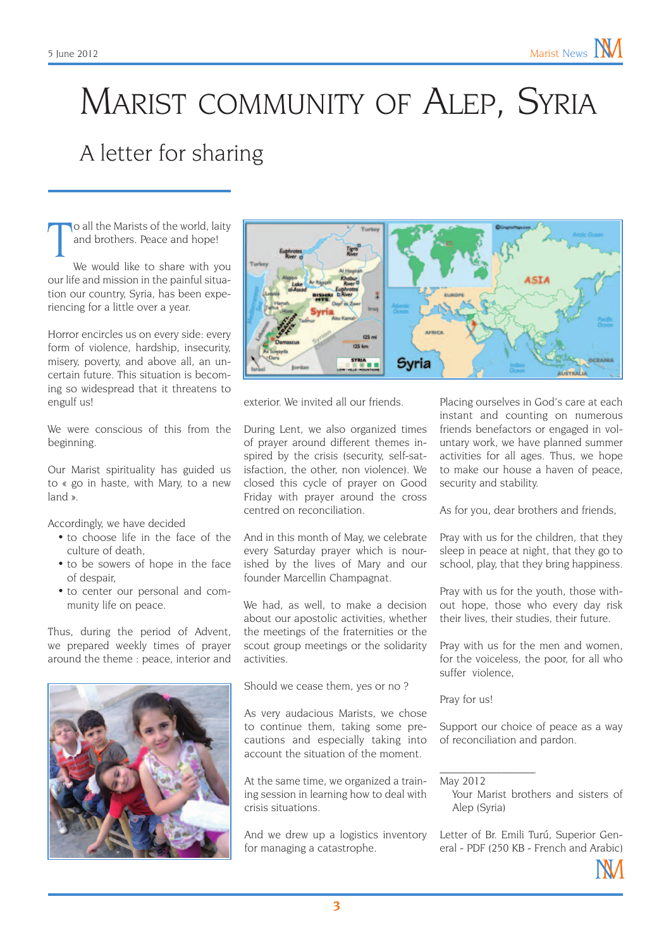## MARIST COMMUNITY OF ALEP, SYRIA A letter for sharing

T o all the Marists of the world, laity and brothers. Peace and hope!

We would like to share with you our life and mission in the painful situation our country, Syria, has been experiencing for a little over a year.

Horror encircles us on every side: every form of violence, hardship, insecurity, misery, poverty, and above all, an uncertain future. This situation is becoming so widespread that it threatens to engulf us!

We were conscious of this from the beginning.

Our Marist spirituality has guided us to « go in haste, with Mary, to a new land ».

Accordingly, we have decided

- to choose life in the face of the culture of death,
- to be sowers of hope in the face of despair,
- to center our personal and community life on peace.

Thus, during the period of Advent, we prepared weekly times of prayer around the theme : peace, interior and





exterior. We invited all our friends.

During Lent, we also organized times of prayer around different themes inspired by the crisis (security, self-satisfaction, the other, non violence). We closed this cycle of prayer on Good Friday with prayer around the cross centred on reconciliation.

And in this month of May, we celebrate every Saturday prayer which is nourished by the lives of Mary and our founder Marcellin Champagnat.

We had, as well, to make a decision about our apostolic activities, whether the meetings of the fraternities or the scout group meetings or the solidarity activities.

Should we cease them, yes or no ?

As very audacious Marists, we chose to continue them, taking some precautions and especially taking into account the situation of the moment.

At the same time, we organized a training session in learning how to deal with crisis situations.

And we drew up a logistics inventory for managing a catastrophe.

Placing ourselves in God's care at each instant and counting on numerous friends benefactors or engaged in voluntary work, we have planned summer activities for all ages. Thus, we hope to make our house a haven of peace, security and stability.

As for you, dear brothers and friends,

Pray with us for the children, that they sleep in peace at night, that they go to school, play, that they bring happiness.

Pray with us for the youth, those without hope, those who every day risk their lives, their studies, their future.

Pray with us for the men and women, for the voiceless, the poor, for all who suffer violence,

Pray for us!

Support our choice of peace as a way of reconciliation and pardon.

May 2012

 $\mathcal{L}_\text{max}$ 

Your Marist brothers and sisters of Alep (Syria)

[Letter of Br. Emili Turú, Superior Gen](http://www.champagnat.org/e_maristas/emili_turu/EmiliTuru_Siria_2012_06_01.pdf)[eral - PDF \(250 KB - French and Arabic\)](http://www.champagnat.org/e_maristas/emili_turu/EmiliTuru_Siria_2012_06_01.pdf)